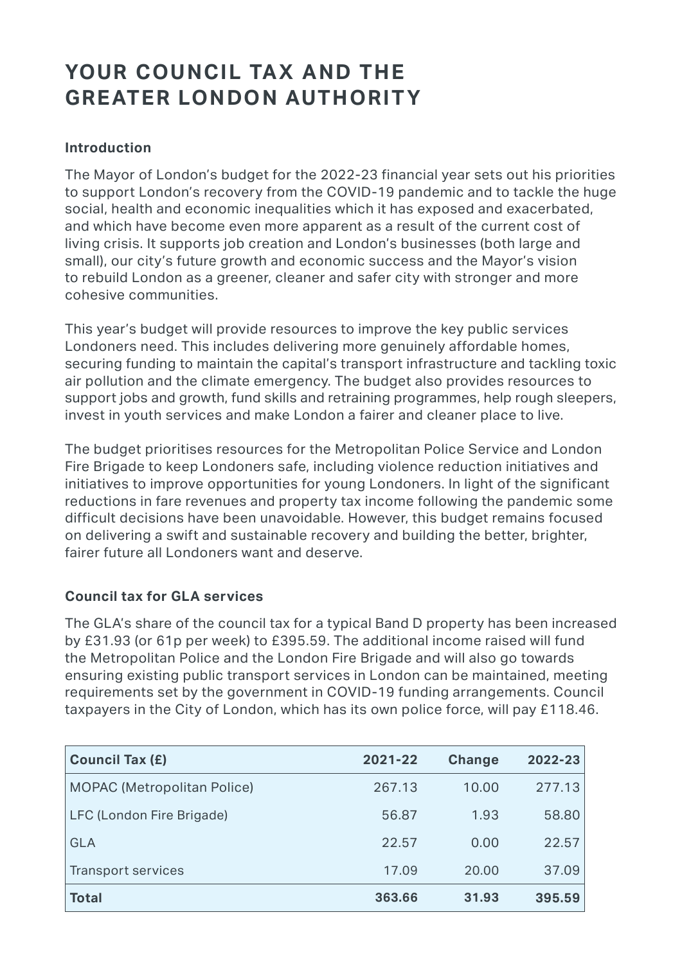# YOUR COUNCIL TAX AND THE **GREATER LONDON AUTHORITY**

## **Introduction**

The Mayor of London's budget for the 2022-23 financial year sets out his priorities to support London's recovery from the COVID-19 pandemic and to tackle the huge social, health and economic inequalities which it has exposed and exacerbated, and which have become even more apparent as a result of the current cost of living crisis. It supports job creation and London's businesses (both large and small), our city's future growth and economic success and the Mayor's vision to rebuild London as a greener, cleaner and safer city with stronger and more cohesive communities.

This year's budget will provide resources to improve the key public services Londoners need. This includes delivering more genuinely affordable homes, securing funding to maintain the capital's transport infrastructure and tackling toxic air pollution and the climate emergency. The budget also provides resources to support jobs and growth, fund skills and retraining programmes, help rough sleepers, invest in youth services and make London a fairer and cleaner place to live.

The budget prioritises resources for the Metropolitan Police Service and London Fire Brigade to keep Londoners safe, including violence reduction initiatives and initiatives to improve opportunities for young Londoners. In light of the significant reductions in fare revenues and property tax income following the pandemic some difficult decisions have been unavoidable. However, this budget remains focused on delivering a swift and sustainable recovery and building the better, brighter, fairer future all Londoners want and deserve.

### **Council tax for GLA services**

The GLA's share of the council tax for a typical Band D property has been increased by £31.93 (or 61p per week) to £395.59. The additional income raised will fund the Metropolitan Police and the London Fire Brigade and will also go towards ensuring existing public transport services in London can be maintained, meeting requirements set by the government in COVID-19 funding arrangements. Council taxpayers in the City of London, which has its own police force, will pay £118.46.

| <b>Council Tax (£)</b>             | 2021-22 | <b>Change</b> | 2022-23 |
|------------------------------------|---------|---------------|---------|
| <b>MOPAC (Metropolitan Police)</b> | 267.13  | 10.00         | 277.13  |
| LFC (London Fire Brigade)          | 56.87   | 1.93          | 58.80   |
| <b>GLA</b>                         | 22.57   | 0.00          | 22.57   |
| Transport services                 | 17.09   | 20.00         | 37.09   |
| <b>Total</b>                       | 363.66  | 31.93         | 395.59  |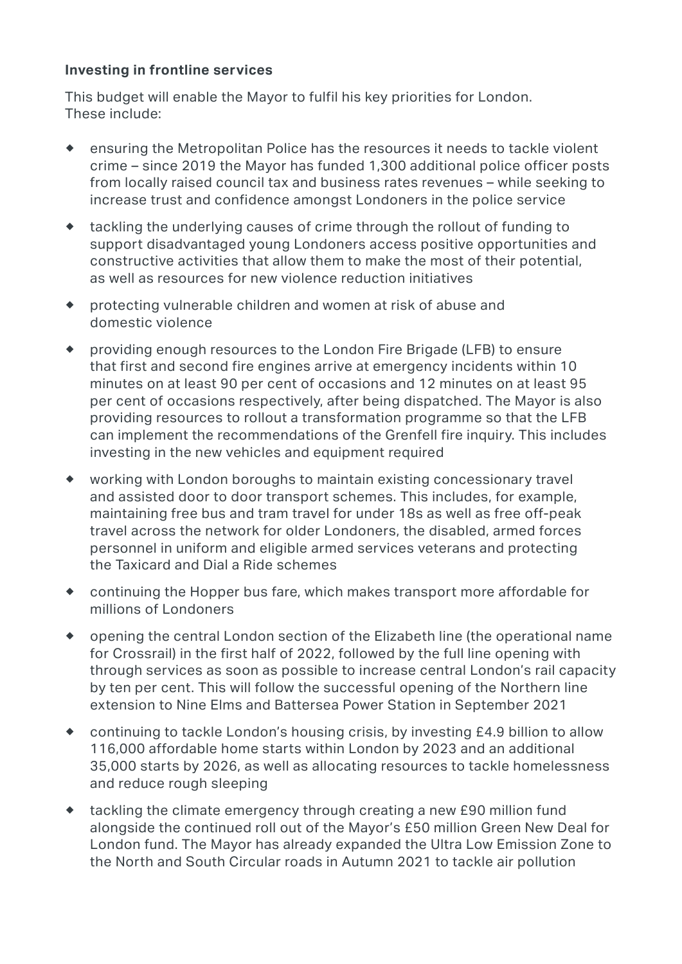#### **Investing in frontline services**

This budget will enable the Mayor to fulfil his key priorities for London. These include:

- $\bullet$ ® ensuring the Metropolitan Police has the resources it needs to tackle violent crime – since 2019 the Mayor has funded 1,300 additional police officer posts from locally raised council tax and business rates revenues – while seeking to increase trust and confidence amongst Londoners in the police service
- ® tackling the underlying causes of crime through the rollout of funding to support disadvantaged young Londoners access positive opportunities and constructive activities that allow them to make the most of their potential, as well as resources for new violence reduction initiatives
- ® protecting vulnerable children and women at risk of abuse and domestic violence
- ® providing enough resources to the London Fire Brigade (LFB) to ensure that first and second fire engines arrive at emergency incidents within 10 minutes on at least 90 per cent of occasions and 12 minutes on at least 95 per cent of occasions respectively, after being dispatched. The Mayor is also providing resources to rollout a transformation programme so that the LFB can implement the recommendations of the Grenfell fire inquiry. This includes investing in the new vehicles and equipment required
- ® working with London boroughs to maintain existing concessionary travel and assisted door to door transport schemes. This includes, for example, maintaining free bus and tram travel for under 18s as well as free off-peak travel across the network for older Londoners, the disabled, armed forces personnel in uniform and eligible armed services veterans and protecting the Taxicard and Dial a Ride schemes
- ® continuing the Hopper bus fare, which makes transport more affordable for millions of Londoners
- ® opening the central London section of the Elizabeth line (the operational name for Crossrail) in the first half of 2022, followed by the full line opening with through services as soon as possible to increase central London's rail capacity by ten per cent. This will follow the successful opening of the Northern line extension to Nine Elms and Battersea Power Station in September 2021
- ® continuing to tackle London's housing crisis, by investing £4.9 billion to allow 116,000 affordable home starts within London by 2023 and an additional 35,000 starts by 2026, as well as allocating resources to tackle homelessness and reduce rough sleeping
- ® tackling the climate emergency through creating a new £90 million fund alongside the continued roll out of the Mayor's £50 million Green New Deal for London fund. The Mayor has already expanded the Ultra Low Emission Zone to the North and South Circular roads in Autumn 2021 to tackle air pollution